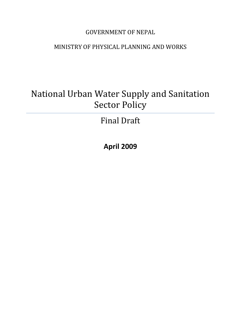# GOVERNMENT OF NEPAL

# MINISTRY OF PHYSICAL PLANNING AND WORKS

# National Urban Water Supply and Sanitation Sector Policy

Final Draft

**April 2009**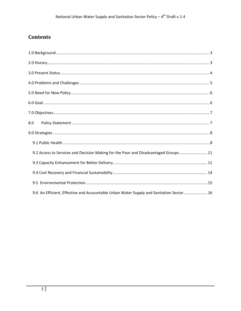# Contents

| 8.0                                                                                     |
|-----------------------------------------------------------------------------------------|
|                                                                                         |
|                                                                                         |
| 9.2 Access to Services and Decision Making for the Poor and Disadvantaged Groups 11     |
|                                                                                         |
|                                                                                         |
|                                                                                         |
| 9.6 An Efficient, Effective and Accountable Urban Water Supply and Sanitation Sector 16 |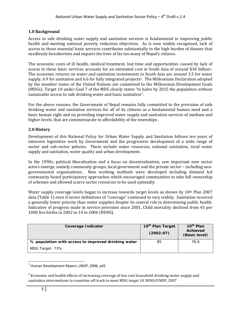#### **1.0 Background**

Access to safe drinking water supply and sanitation services is fundamental to improving public health and meeting national poverty reduction objectives. As is now widely recognised, lack of access to these essential basic services contributes substantially to the high burden of disease that needlessly foreshortens and impairs the lives of far too many of Nepal's citizens.

The economic costs of ill health, medical treatment, lost time and opportunities caused by lack of access to these basic services accounts for an estimated cost in South Asia of around \$34 billion1. The economic returns on water and sanitation investments in South Asia are around 3.5 for water supply, 6.9 for sanitation and 6.6 for fully integrated projects<sup>2</sup>. The Millennium Declaration adopted by the member states of the United Nations are committed to the Millennium Development Goals (MDGs). Target 10 under Goal 7 of the MDG clearly states "to halve by 2015 the population without sustainable access to safe drinking water and basic sanitation".

For the above reasons, the Government of Nepal remains fully committed to the provision of safe drinking water and sanitation services for all of its citizens as a fundamental human need and a basic human right and on providing improved water supply and sanitation services of medium and higher levels, that are commensurate to affordability of the townships .

#### **2.0 History**

Development of this National Policy for Urban Water Supply and Sanitation follows ten years of intensive legislative work by Government and the progressive development of a wide range of sector and sub-sector policies. These include water resources, national sanitation, rural water supply and sanitation, water quality and urban development.

In the 1990s, political liberalisation and a focus on decentralisation, saw important new sector actors emerge, namely community groups, local government and the private sector – including non‐ governmental organisations. New working methods were developed including demand led community based participatory approaches which encouraged communities to take full ownership of schemes and allowed scarce sector resources to be used optimally.

Water supply coverage levels began to increase towards target levels as shown by 10<sup>th</sup> Plan 2007 data (Table 1) even if sector definitions of "coverage" continued to vary widely. Sanitation received a generally lower priority than water supplies despite its central role in determining public health. Indicative of progress made in service provision since 2001, Child mortality declined from 43 per 1000 live births in 2002 to 14 in 2006 (NDHS).

| <b>Coverage Indicator</b>                           | 10 <sup>th</sup> Plan Target<br>$(2002-07)$ | 10 <sup>th</sup> Plan<br><b>Achieved</b><br>(Basic level) |
|-----------------------------------------------------|---------------------------------------------|-----------------------------------------------------------|
| % population with access to improved drinking water | 85                                          | 76.6                                                      |
| MDG Target: 73%                                     |                                             |                                                           |

  $<sup>1</sup>$  Human Development Report, UNDP, 2006, p42</sup>

<sup>&</sup>lt;sup>2</sup> Economic and health effects of increasing coverage of low cost household drinking-water supply and sanitation interventions to countries off-track to meet MDG target 10, WHO/UNDP, 2007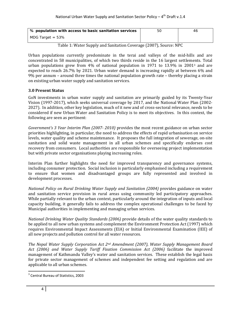| % population with access to basic sanitation services | 50 | 46 |
|-------------------------------------------------------|----|----|
| MDG Target = $53\%$                                   |    |    |

Table 1: Water Supply and Sanitation Coverage (2007), Source: NPC

Urban populations currently predominate in the terai and valleys of the mid-hills and are concentrated in 58 municipalities, of which two thirds reside in the 16 largest settlements. Total urban populations grew from  $4\%$  of national population in  $1971$  to  $13.9\%$  in  $2001^3$  and are expected to reach 26.7% by 2021. Urban water demand is increasing rapidly at between 6% and 9% per annum – around three times the national population growth rate – thereby placing a strain on existing urban water supply and sanitation services.

#### **3.0 Present Status**

GoN investments in urban water supply and sanitation are primarily guided by its Twenty-Year Vision (1997-2017), which seeks universal coverage by 2017, and the National Water Plan (2002-2027). In addition, other key legislation, much of it new and of cross‐sectoral relevance, needs to be considered if new Urban Water and Sanitation Policy is to meet its objectives. In this context, the following are seen as pertinent:

*Government's 3 Year Interim Plan (2007 2010)* provides the most recent guidance on urban sector priorities highlighting, in particular, the need to address the effects of rapid urbanisation on service levels, water quality and scheme maintenance. It proposes the full integration of sewerage, on‐site sanitation and solid waste management in all urban schemes and specifically endorses cost recovery from consumers. Local authorities are responsible for overseeing project implementation but with private sector organisations playing increasing roles.

Interim Plan further highlights the need for improved transparency and governance systems, including consumer protection. Social inclusion is particularly emphasised including a requirement to ensure that women and disadvantaged groups are fully represented and involved in development processes.

*National Policy on Rural Drinking Water Supply and Sanitation (2004)* provides guidance on water and sanitation service provision in rural areas using community led participatory approaches. While partially relevant to the urban context, particularly around the integration of inputs and local capacity building, it generally fails to address the complex operational challenges to be faced by Municipal authorities in implementing and managing urban services.

*National Drinking Water Quality Standards (2006)* provide details of the water quality standards to be applied to all new urban systems and complement the Environment Protection Act (1997) which requires Environmental Impact Assessments (EIA) or Initial Environmental Examination (IEE) of all new projects and pollution control for all water resources.

*The Nepal Water Supply Corporation Act 2nd Amendment (2007), Water Supply Management Board Act (2006) and Water Supply Tariff Fixation Commission Act (2006)* facilitate the improved management of Kathmandu Valley's water and sanitation services. These establish the legal basis for private sector management of schemes and independent fee setting and regulation and are applicable to all urban schemes.

 <sup>3</sup> Central Bureau of Statistics, 2003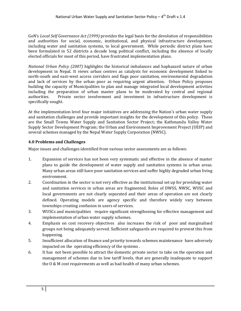GoN's *Local Self Governance Act (1999)* provides the legal basis for the devolution of responsibilities and authorities for social, economic, institutional, and physical infrastructure development, including water and sanitation systems, to local government. While periodic district plans have been formulated in 52 districts a decade long political conflict, including the absence of locally elected officials for most of this period, have frustrated implementation plans.

*National Urban Policy (2007)* highlights the historical imbalances and haphazard nature of urban development in Nepal. It views urban centres as catalysts for economic development linked to north‐south and east‐west access corridors and flags poor sanitation, environmental degradation and lack of services by the urban poor as requiring urgent attention. Urban Policy proposes building the capacity of Municipalities to plan and manage integrated local development activities including the preparation of urban master plans to be moderated by central and regional authorities. Private sector involvement and investment in infrastructure development is specifically sought.

At the implementation level four major initiatives are addressing the Nation's urban water supply and sanitation challenges and provide important insights for the development of this policy. These are the Small Towns Water Supply and Sanitation Sector Project; the Kathmandu Valley Water Supply Sector Development Program; the Urban and Environment Improvement Project (UEIP) and several schemes managed by the Nepal Water Supply Corporation (NWSC).

#### **4.0 Problems and Challenges**

Major issues and challenges identified from various sector assessments are as follows:

- 1. Expansion of services has not been very systematic and effective in the absence of master plans to guide the development of water supply and sanitation systems in urban areas. Many urban areas still have poor sanitation services and suffer highly degraded urban living environment.
- 2. Coordination in the sector is not very effective as the institutional set up for providing water and sanitation services in urban areas are fragmented. Roles of DWSS, NWSC, WUSC and local governments are not clearly separated and their areas of operation are not clearly defined. Operating models are agency specific and therefore widely vary between townships creating confusion in users of services.
- 3. WUSCs and municipalities require significant strengthening for effective management and implementation of urban water supply schemes.
- 4. Emphasis on cost recovery objectives also increases the risk of poor and marginalised groups not being adequately served. Sufficient safeguards are required to prevent this from happening.
- 5. Insufficient allocation of finance and priority towards schemes maintenance have adversely impacted on the operating efficiency of the systems .
- 6. It has not been possible to attract the domestic private sector to take on the operation and management of schemes due to low tariff levels, that are generally inadequate to support the O & M cost requirements as well as bad health of many urban schemes.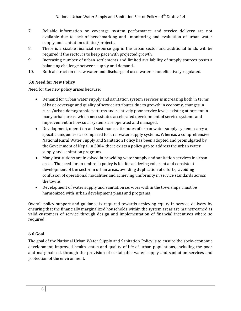- 7. Reliable information on coverage, system performance and service delivery are not available due to lack of benchmarking and monitoring and evaluation of urban water supply and sanitation utilities/projects.
- 8. There is a sizable financial resource gap in the urban sector and additional funds will be required if the sector is to keep pace with projected growth.
- 9. Increasing number of urban settlements and limited availability of supply sources poses a balancing challenge between supply and demand.
- 10. Both abstraction of raw water and discharge of used water is not effectively regulated.

## **5.0 Need for New Policy**

Need for the new policy arises because:

- Demand for urban water supply and sanitation system services is increasing both in terms of basic coverage and quality of service attributes due to growth in economy, changes in rural/urban demographic patterns and relatively poor service levels existing at present in many urban areas, which necessitates accelerated development of service systems and improvement in how such systems are operated and managed.
- Development, operation and sustenance attributes of urban water supply systems carry a specific uniqueness as compared to rural water supply systems. Whereas a comprehensive National Rural Water Supply and Sanitation Policy has been adopted and promulgated by the Government of Nepal in 2004, there exists a policy gap to address the urban water supply and sanitation programs.
- Many institutions are involved in providing water supply and sanitation services in urban areas. The need for an umbrella policy is felt for achieving coherent and consistent development of the sector in urban areas, avoiding duplication of efforts, avoiding confusion of operational modalities and achieving uniformity in service standards across the towns
- Development of water supply and sanitation services within the townships must be harmonized with urban development plans and programs

Overall policy support and guidance is required towards achieving equity in service delivery by ensuring that the financially marginalized households within the system areas are mainstreamed as valid customers of service through design and implementation of financial incentives where so required.

## **6.0 Goal**

The goal of the National Urban Water Supply and Sanitation Policy is to ensure the socio‐economic development, improved health status and quality of life of urban populations, including the poor and marginalised, through the provision of sustainable water supply and sanitation services and protection of the environment.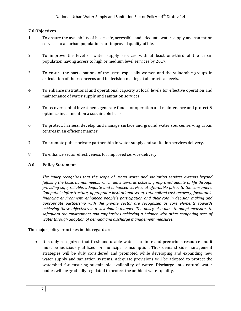#### **7.0 Objectives**

- 1. To ensure the availability of basic safe, accessible and adequate water supply and sanitation services to all urban populations for improved quality of life.
- 2. To improve the level of water supply services with at least one-third of the urban population having access to high or medium level services by 2017.
- 3. To ensure the participations of the users especially women and the vulnerable groups in articulation of their concerns and in decision making at all practical levels.
- 4. To enhance institutional and operational capacity at local levels for effective operation and maintenance of water supply and sanitation services.
- 5. To recover capital investment, generate funds for operation and maintenance and protect & optimize investment on a sustainable basis.
- 6. To protect, harness, develop and manage surface and ground water sources serving urban centres in an efficient manner.
- 7. To promote public private partnership in water supply and sanitation services delivery.
- 8. To enhance sector effectiveness for improved service delivery.

#### **8.0 Policy Statement**

*The Policy recognizes that the scope of urban water and sanitation services extends beyond fulfilling the basic human needs, which aims towards achieving improved quality of life through providing safe, reliable, adequate and enhanced services at affordable prices to the consumers. Compatible infrastructure, appropriate institutional setup, rationalized cost recovery, favourable financing environment, enhanced people's participation and their role in decision making and appropriate partnership with the private sector are recognized as core elements towards achieving these objectives in a sustainable manner. The policy also aims to adopt measures to safeguard the environment and emphasizes achieving a balance with other competing uses of water through adoption of demand and discharge management measures.* 

The major policy principles in this regard are:

• It is duly recognized that fresh and usable water is a finite and precarious resource and it must be judiciously utilized for municipal consumption. Thus demand side management strategies will be duly considered and promoted while developing and expanding new water supply and sanitation systems. Adequate provisions will be adopted to protect the watershed for ensuring sustainable availability of water. Discharge into natural water bodies will be gradually regulated to protect the ambient water quality.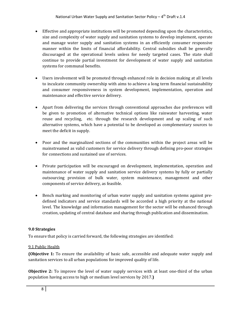- Effective and appropriate institutions will be promoted depending upon the characteristics, size and complexity of water supply and sanitation systems to develop implement, operate and manage water supply and sanitation systems in an efficiently consumer responsive manner within the limits of financial affordability. Central subsidies shall be generally discouraged at the operational levels unless for needy targeted cases. The state shall continue to provide partial investment for development of water supply and sanitation systems for communal benefits.
- Users involvement will be promoted through enhanced role in decision making at all levels to inculcate community ownership with aims to achieve a long term financial sustainability and consumer responsiveness in system development, implementation, operation and maintenance and effective service delivery.
- Apart from delivering the services through conventional approaches due preferences will be given to promotion of alternative technical options like rainwater harvesting, water reuse and recycling, etc. through the research development and up scaling of such alternative systems, which have a potential to be developed as complementary sources to meet the deficit in supply.
- Poor and the marginalized sections of the communities within the project areas will be mainstreamed as valid customers for service delivery through defining pro‐poor strategies for connections and sustained use of services.
- Private participation will be encouraged on development, implementation, operation and maintenance of water supply and sanitation service delivery systems by fully or partially outsourcing provision of bulk water, system maintenance, management and other components of service delivery, as feasible.
- Bench marking and monitoring of urban water supply and sanitation systems against predefined indicators and service standards will be accorded a high priority at the national level. The knowledge and information management for the sector will be enhanced through creation, updating of central database and sharing through publication and dissemination.

#### **9.0 Strategies**

To ensure that policy is carried forward, the following strategies are identified:

#### 9.1 Public Health

**(Objective 1:** To ensure the availability of basic safe, accessible and adequate water supply and sanitation services to all urban populations for improved quality of life.

**Objective 2:** To improve the level of water supply services with at least one-third of the urban population having access to high or medium level services by 2017.**)**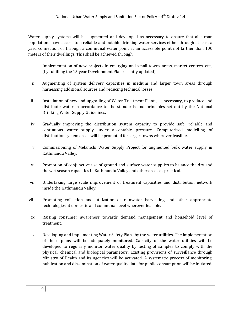Water supply systems will be augmented and developed as necessary to ensure that all urban populations have access to a reliable and potable drinking water services either through at least a yard connection or through a communal water point at an accessible point not farther than 100 meters of their dwellings. This shall be achieved through:

- i. Implementation of new projects in emerging and small towns areas, market centres, etc., (by fulfilling the 15 year Development Plan recently updated)
- ii. Augmenting of system delivery capacities in medium and larger town areas through harnessing additional sources and reducing technical losses.
- iii. Installation of new and upgrading of Water Treatment Plants, as necessary, to produce and distribute water in accordance to the standards and principles set out by the National Drinking Water Supply Guidelines.
- iv. Gradually improving the distribution system capacity to provide safe, reliable and continuous water supply under acceptable pressure. Computerized modelling of distribution system areas will be promoted for larger towns wherever feasible.
- v. Commissioning of Melamchi Water Supply Project for augmented bulk water supply in Kathmandu Valley.
- vi. Promotion of conjunctive use of ground and surface water supplies to balance the dry and the wet season capacities in Kathmandu Valley and other areas as practical.
- vii. Undertaking large scale improvement of treatment capacities and distribution network inside the Kathmandu Valley.
- viii. Promoting collection and utilization of rainwater harvesting and other appropriate technologies at domestic and communal level wherever feasible.
- ix. Raising consumer awareness towards demand management and household level of treatment.
- x. Developing and implementing Water Safety Plans by the water utilities. The implementation of these plans will be adequately monitored. Capacity of the water utilities will be developed to regularly monitor water quality by testing of samples to comply with the physical, chemical and biological parameters. Existing provisions of surveillance through Ministry of Health and its agencies will be activated. A systematic process of monitoring, publication and dissemination of water quality data for public consumption will be initiated.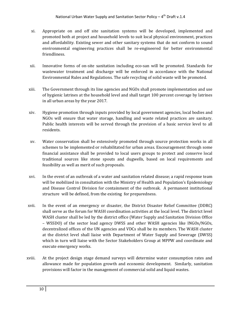- xi. Appropriate on and off site sanitation systems will be developed, implemented and promoted both at project and household levels to suit local physical environment, practices and affordability. Existing sewer and other sanitary systems that do not conform to sound environmental engineering practices shall be re‐engineered for better environmental friendliness.
- xii. Innovative forms of on‐site sanitation including eco‐san will be promoted. Standards for wastewater treatment and discharge will be enforced in accordance with the National Environmental Rules and Regulations. The safe recycling of solid waste will be promoted.
- xiii. The Government through its line agencies and NGOs shall promote implementation and use of hygienic latrines at the household level and shall target 100 percent coverage by latrines in all urban areas by the year 2017.
- xiv. Hygiene promotion through inputs provided by local government agencies, local bodies and NGOs will ensure that water storage, handling and waste related practices are sanitary. Public health interests will be served through the provision of a basic service level to all residents.
- xv. Water conservation shall be extensively promoted through source protection works in all schemes to be implemented or rehabilitated for urban areas. Encouragement through some financial assistance shall be provided to local users groups to protect and conserve local traditional sources like stone spouts and dugwells, based on local requirements and feasibility as well as merit of such proposals.
- xvi. In the event of an outbreak of a water and sanitation related disease; a rapid response team will be mobilized in consultation with the Ministry of Health and Population's Epidemiology and Disease Control Division for containment of the outbreak. A permanent institutional structure will be defined, from the existing for preparedness.
- xvii. In the event of an emergency or disaster, the District Disaster Relief Committee (DDRC) shall serve as the forum for WASH coordination activities at the local level. The district level WASH cluster shall be led by the district office (Water Supply and Sanitation Division Office – WSSDO) of the sector lead agency DWSS and other WASH agencies like INGOs/NGOs, decentralized offices of the UN agencies and VDCs shall be its members. The WASH cluster at the district level shall liaise with Department of Water Supply and Sewerage (DWSS) which in turn will liaise with the Sector Stakeholders Group at MPPW and coordinate and execute emergency works.
- xviii. At the project design stage demand surveys will determine water consumption rates and allowance made for population growth and economic development. Similarly, sanitation provisions will factor in the management of commercial solid and liquid wastes.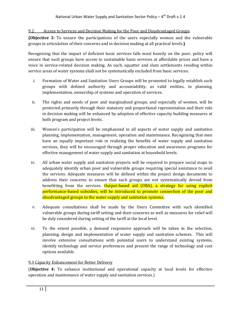#### 9.2 Access to Services and Decision Making for the Poor and Disadvantaged Groups

**(Objective 3:** To ensure the participations of the users especially women and the vulnerable groups in articulation of their concerns and in decision making at all practical levels.**)**

Recognising that the impact of deficient basic services falls most heavily on the poor, policy will ensure that such groups have access to sustainable basic services at affordable prices and have a voice in service-related decision making. As such, squatter and slum settlements residing within service areas of water systems shall not be systematically excluded from basic services.

- i. Formation of Water and Sanitation Users Groups will be promoted to legally establish such groups with defined authority and accountability, as valid entities, in planning, implementation, ownership of systems and operation of services.
- ii. The rights and needs of poor and marginalised groups, and especially of women, will be protected primarily through their statutory and proportional representation and their role in decision making will be enhanced by adoption of effective capacity building measures at both program and project levels.
- iii. Women's participation will be emphasized in all aspects of water supply and sanitation planning, implementation, management, operation and maintenance. Recognizing that men have an equally important role in realizing the benefits of water supply and sanitation services, they will be encouraged through proper education and awareness programs for effective management of water supply and sanitation at household levels.
- iv. All urban water supply and sanitation projects will be required to prepare social maps to adequately identify urban poor and vulnerable groups requiring special assistance to avail the services. Adequate measures will be defined within the project design documents to address their concerns to ensure that such groups are not systematically devoid from benefitting from the services. Output-based aid (OBA), a strategy for using explicit performance-based subsidies, will be introduced to promote connection of the poor and disadvantaged groups to the water supply and sanitation systems.
- v. Adequate consultations shall be made by the Users Committee with such identified vulnerable groups during tariff setting and their concerns as well as measures for relief will be duly considered during setting of the tariff at the local level.
- vi. To the extent possible, a demand responsive approach will be taken in the selection, planning, design and implementation of water supply and sanitation schemes. This will involve extensive consultations with potential users to understand existing systems, identify technology and service preferences and present the range of technology and cost options available.

#### 9.3 Capacity Enhancement for Better Delivery

(**Objective 4:** To enhance institutional and operational capacity at local levels for effective operation and maintenance of water supply and sanitation services.)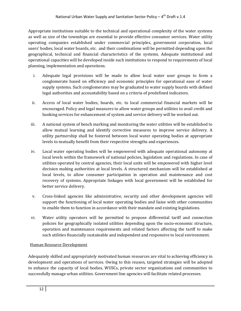Appropriate institutions suitable to the technical and operational complexity of the water systems as well as size of the townships are essential to provide effective consumer services. Water utility operating companies established under commercial principles, government corporation, local users' bodies, local water boards, etc. and their combinations will be permitted depending upon the geographical, technical and financial characteristics of the systems. Adequate institutional and operational capacities will be developed inside such institutions to respond to requirements of local planning, implementation and operations.

- i. Adequate legal provisions will be made to allow local water user groups to form a conglomerate based on efficiency and economic principles for operational ease of water supply systems. Such conglomerates may be graduated to water supply boards with defined legal authorities and accountability based on a criteria of predefined indicators.
- ii. Access of local water bodies, boards, etc. to local commercial financial markets will be encouraged. Policy and legal measures to allow water groups and utilities to avail credit and banking services for enhancement of system and service delivery will be worked out.
- iii. A national system of bench marking and monitoring the water utilities will be established to allow mutual learning and identify corrective measures to improve service delivery. A utility partnership shall be fostered between local water operating bodies at appropriate levels to mutually benefit from their respective strengths and experiences.
- iv. Local water operating bodies will be empowered with adequate operational autonomy at local levels within the framework of national policies, legislation and regulations. In case of utilities operated by central agencies, their local units will be empowered with higher level decision making authorities at local levels. A structured mechanism will be established at local levels, to allow consumer participation in operation and maintenance and cost recovery of systems. Appropriate linkages with local government will be established for better service delivery.
- v. Cross-linked agencies like administrative, security and other development agencies will support the functioning of local water operating bodies and liaise with other communities to enable them to function in accordance with their mandate and existing legislations.
- vi. Water utility operators will be permitted to propose differential tariff and connection policies for geographically isolated utilities depending upon the socio‐economic structure, operation and maintenance requirements and related factors affecting the tariff to make such utilities financially sustainable and independent and responsive to local environment.

## Human Resource Development

Adequately skilled and appropriately motivated human resources are vital to achieving efficiency in development and operations of services. Owing to this reason, targeted strategies will be adopted to enhance the capacity of local bodies, WUSCs, private sector organizations and communities to successfully manage urban utilities. Government line agencies will facilitate related processes.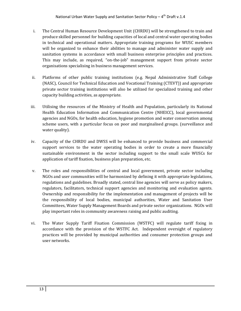- i. The Central Human Resource Development Unit (CHRDU) will be strengthened to train and produce skilled personnel for building capacities of local and central water operating bodies in technical and operational matters. Appropriate training programs for WUSC members will be organized to enhance their abilities to manage and administer water supply and sanitation systems in accordance with small business enterprise principles and practices. This may include, as required, "on-the-job" management support from private sector organisations specialising in business management services.
- ii. Platforms of other public training institutions (e.g. Nepal Administrative Staff College (NASC), Council for Technical Education and Vocational Training (CTEVT)) and appropriate private sector training institutions will also be utilized for specialized training and other capacity building activities, as appropriate.
- iii. Utilising the resources of the Ministry of Health and Population, particularly its National Health Education Information and Communication Centre (NHEICC), local governmental agencies and NGOs, for health education, hygiene promotion and water conservation among scheme users, with a particular focus on poor and marginalised groups. (surveillance and water quality).
- iv. Capacity of the CHRDU and DWSS will be enhanced to provide business and commercial support services to the water operating bodies in order to create a more financially sustainable environment in the sector including support to the small scale WUSCs for application of tariff fixation, business plan preparation, etc.
- v. The roles and responsibilities of central and local government, private sector including NGOs and user communities will be harmonized by defining it with appropriate legislations, regulations and guidelines. Broadly stated, central line agencies will serve as policy makers, regulators, facilitators, technical support agencies and monitoring and evaluation agents. Ownership and responsibility for the implementation and management of projects will be the responsibility of local bodies, municipal authorities, Water and Sanitation User Committees, Water Supply Management Boards and private sector organizations. NGOs will play important roles in community awareness raising and public auditing.
- vi. The Water Supply Tariff Fixation Commission (WSTFC) will regulate tariff fixing in accordance with the provision of the WSTFC Act. Independent oversight of regulatory practices will be provided by municipal authorities and consumer protection groups and user networks.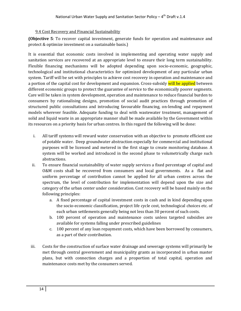#### 9.4 Cost Recovery and Financial Sustainability

**(Objective 5**: To recover capital investment, generate funds for operation and maintenance and protect & optimize investment on a sustainable basis.)

It is essential that economic costs involved in implementing and operating water supply and sanitation services are recovered at an appropriate level to ensure their long term sustainability. Flexible financing mechanisms will be adopted depending upon socio-economic, geographic, technological and institutional characteristics for optimized development of any particular urban system. Tariff will be set with principles to achieve cost recovery in operation and maintenance and a portion of the capital cost for development and expansion. Cross-subsidy will be applied between different economic groups to protect the guarantee of service to the economically poorer segments. Care will be taken in system development, operation and maintenance to reduce financial burden to consumers by rationalising designs, promotion of social audit practices through promotion of structured public consultations and introducing favourable financing, on‐lending and repayment models wherever feasible. Adequate funding to deal with wastewater treatment, management of solid and liquid waste in an appropriate manner shall be made available by the Government within its resources on a priority basis for urban centres. In this regard the following will be done:

- i. All tariff systems will reward water conservation with an objective to promote efficient use of potable water. Deep groundwater abstraction especially for commercial and institutional purposes will be licensed and metered in the first stage to create monitoring database. A system will be worked and introduced in the second phase to volumetrically charge such abstractions.
- ii. To ensure financial sustainability of water supply services a fixed percentage of capital and O&M costs shall be recovered from consumers and local governments. As a flat and uniform percentage of contribution cannot be applied for all urban centres across the spectrum, the level of contribution for implementation will depend upon the size and category of the urban center under consideration. Cost recovery will be based mainly on the following principles:
	- a. A fixed percentage of capital investment costs in cash and in kind depending upon the socio‐economic classification, project life cycle cost, technological choices etc. of each urban settlements generally being not less than 30 percent of such costs.
	- b. 100 percent of operation and maintenance costs unless targeted subsidies are available for systems falling under prescribed guidelines
	- c. 100 percent of any loan repayment costs, which have been borrowed by consumers, as a part of their contribution.
- iii. Costs for the construction of surface water drainage and sewerage systems will primarily be met through central government and municipality grants as incorporated in urban master plans, but with connection charges and a proportion of total capital, operation and maintenance costs met by the consumers served.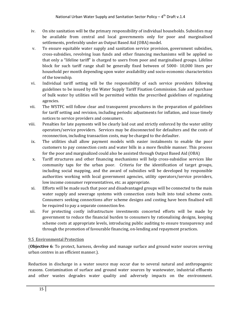- iv. On site sanitation will be the primary responsibility of individual households. Subsidies may be available from central and local governments only for poor and marginalised settlements, preferably under an Output Based Aid (OBA) model.
- v. To ensure equitable water supply and sanitation service provision, government subsidies, cross‐subsidies, revolving loan funds and other financing mechanisms will be applied so that only a "lifeline tariff" is charged to users from poor and marginalised groups. Lifeline block for such tariff range shall be generally fixed between of 5000-10,000 liters per household per month depending upon water availability and socio‐economic characteristics of the township.
- vi. Individual tariff setting will be the responsibility of each service providers following guidelines to be issued by the Water Supply Tariff Fixation Commission. Sale and purchase of bulk water by utilities will be permitted within the prescribed guidelines of regulating agencies.
- vii. The WSTFC will follow clear and transparent procedures in the preparation of guidelines for tariff setting and revision, including periodic adjustments for inflation, and issue timely notices to service providers and consumers.
- viii. Penalties for late payments will be clearly laid out and strictly enforced by the water utility operators/service providers. Services may be disconnected for defaulters and the costs of reconnection, including transaction costs, may be charged to the defaulter.
- ix. The utilities shall allow payment models with easier instalments to enable the poor customers to pay connection costs and water bills in a more flexible manner. This process for the poor and marginalized could also be assisted through Output Based Aid (OBA)
- x. Tariff structures and other financing mechanisms will help cross-subsidise services like community taps for the urban poor. Criteria for the identification of target groups, including social mapping, and the award of subsidies will be developed by responsible authorities working with local government agencies, utility operators/service providers, low income consumer representatives, etc. as appropriate.
- xi. Efforts will be made such that poor and disadvantaged groups will be connected to the main water supply and sewerage systems with connection costs built into total scheme costs. Consumers seeking connections after scheme designs and costing have been finalised will be required to pay a separate connection fee.
- xii. For protecting costly infrastructure investments concerted efforts will be made by government to reduce the financial burden to consumers by rationalising designs, keeping scheme costs at appropriate levels, introducing public auditing to ensure transparency and through the promotion of favourable financing, on‐lending and repayment practices.

#### 9.5 Environmental Protection

(**Objective 6**: To protect, harness, develop and manage surface and ground water sources serving urban centres in an efficient manner.).

Reduction in discharge in a water source may occur due to several natural and anthropogenic reasons. Contamination of surface and ground water sources by wastewater, industrial effluents and other wastes degrades water quality and adversely impacts on the environment.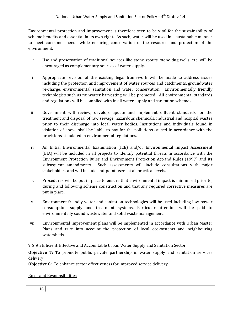Environmental protection and improvement is therefore seen to be vital for the sustainability of scheme benefits and essential in its own right. As such, water will be used in a sustainable manner to meet consumer needs while ensuring conservation of the resource and protection of the environment.

- i. Use and preservation of traditional sources like stone spouts, stone dug wells, etc. will be encouraged as complementary sources of water supply.
- ii. Appropriate revision of the existing legal framework will be made to address issues including the protection and improvement of water sources and catchments, groundwater re-charge, environmental sanitation and water conservation. Environmentally friendly technologies such as rainwater harvesting will be promoted. All environmental standards and regulations will be complied with in all water supply and sanitation schemes.
- iii. Government will review, develop, update and implement effluent standards for the treatment and disposal of raw sewage, hazardous chemicals, industrial and hospital wastes prior to their discharge into local water bodies. Institutions and individuals found in violation of above shall be liable to pay for the pollutions caused in accordance with the provisions stipulated in environmental regulations.
- iv. An Initial Environmental Examination (IEE) and/or Environmental Impact Assessment (EIA) will be included in all projects to identify potential threats in accordance with the Environment Protection Rules and Environment Protection Act‐and Rules (1997) and its subsequent amendments. Such assessments will include consultations with major stakeholders and will include end‐point users at all practical levels.
- v. Procedures will be put in place to ensure that environmental impact is minimised prior to, during and following scheme construction and that any required corrective measures are put in place.
- vi. Environment‐friendly water and sanitation technologies will be used including low power consumption supply and treatment systems. Particular attention will be paid to environmentally sound wastewater and solid waste management.
- vii. Environmental improvement plans will be implemented in accordance with Urban Master Plans and take into account the protection of local eco-systems and neighbouring watersheds.

#### 9.6 An Efficient, Effective and Accountable Urban Water Supply and Sanitation Sector

**Objective 7:** To promote public private partnership in water supply and sanitation services delivery.

**Objective 8:** To enhance sector effectiveness for improved service delivery.

#### Roles and Responsibilities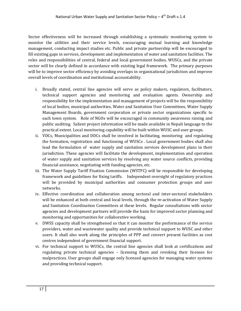Sector effectiveness will be increased through establishing a systematic monitoring system to monitor the utilities and their service levels, encouraging mutual learning and knowledge management, conducting impact studies etc. Public and private partnership will be encouraged to fill existing gaps in services, development and implementation of water and sanitation facilities. The roles and responsibilities of central, federal and local government bodies, WUSCs, and the private sector will be clearly defined in accordance with existing legal framework. The primary purposes will be to improve sector efficiency by avoiding overlaps in organisational jurisdiction and improve overall levels of coordination and institutional accountability.

- i. Broadly stated, central line agencies will serve as policy makers, regulators, facilitators, technical support agencies and monitoring and evaluation agents. Ownership and responsibility for the implementation and management of projects will be the responsibility of local bodies, municipal authorities, Water and Sanitation User Committees, Water Supply Management Boards, government corporation or private sector organizations specific to each town system. Role of NGOs will be encouraged in community awareness raising and public auditing. Salient project information will be made available in Nepali language to the practical extent. Local monitoring capability will be built within WUSC and user groups.
- ii. VDCs, Municipalities and DDCs shall be involved in facilitating, monitoring and regulating the formation, registration and functioning of WUSCs . Local government bodies shall also lead the formulation of water supply and sanitation services development plans in their jurisdiction. These agencies will facilitate the development, implementation and operation of water supply and sanitation services by resolving any water source conflicts, providing financial assistance, negotiating with funding agencies, etc.
- iii. The Water Supply Tariff Fixation Commission (WSTFC) will be responsible for developing framework and guidelines for fixing tariffs. Independent oversight of regulatory practices will be provided by municipal authorities and consumer protection groups and user networks.
- iv. Effective coordination and collaboration among sectoral and inter-sectoral stakeholders will be enhanced at both central and local levels, through the re-activation of Water Supply and Sanitation Coordination Committees at these levels. Regular consultations with sector agencies and development partners will provide the basis for improved sector planning and monitoring and opportunities for collaborative working.
- v. DWSS capacity shall be strengthened so that it can monitor the performance of the service providers, water and wastewater quality and provide technical support to WUSC and other users. It shall also work along the principles of PPP and convert present facilities as cost centres independent of government financial support.
- vi. For technical support to WUSCs, the central line agencies shall look at certifications and regulating private technical agencies – licensing them and revoking their licenses for malpractices. User groups shall engage only licensed agencies for managing water systems and providing technical support.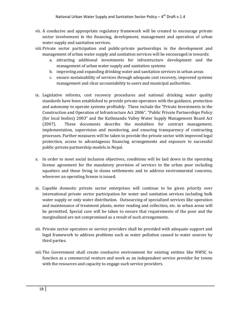- vii. A conducive and appropriate regulatory framework will be created to encourage private sector involvement in the financing, development, management and operation of urban water supply and sanitation services.
- viii.Private sector participation and public‐private partnerships in the development and management of urban water supply and sanitation services will be encouraged in towards:
	- a. attracting additional investments for infrastructure development and the management of urban water supply and sanitation systems
	- b. improving and expanding drinking water and sanitation services in urban areas
	- c. ensure sustainability of services through adequate cost recovery, improved systems management and clear accountability to users and municipal authorities.
- ix. Legislative reforms, cost recovery procedures and national drinking water quality standards have been established to provide private operators with the guidance, protection and autonomy to operate systems profitably. These include the "Private Investments in the Construction and Operation of Infrastructure Act 2006", "Public Private Partnerships Policy (for local bodies) 2003" and the Kathmandu Valley Water Supply Management Board Act (2007). These documents describe the modalities for contract management, implementation, supervision and monitoring, and ensuring transparency of contracting processes. Further measures will be taken to provide the private sector with improved legal protection, access to advantageous financing arrangements and exposure to successful public‐private partnership models in Nepal.
- x. In order to meet social inclusion objectives, conditions will be laid down in the operating license agreement for the mandatory provision of services to the urban poor including squatters and those living in slums settlements and to address environmental concerns, wherever an operating license is issued.
- xi. Capable domestic private sector enterprises will continue to be given priority over international private sector participation for water and sanitation services including bulk water supply or only water distribution. Outsourcing of specialized services like operation and maintenance of treatment plants, meter reading and collection, etc. in urban areas will be permitted. Special care will be taken to ensure that requirements of the poor and the marginalized are not compromised as a result of such arrangements.
- xii. Private sector operators or service providers shall be provided with adequate support and legal framework to address problems such as water pollution caused to water sources by third parties.
- xiii.The Government shall create conducive environment for existing entities like NWSC to function as a commercial venture and work as an independent service provider for towns with the resources and capacity to engage such service providers.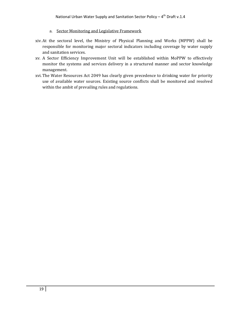- a. Sector Monitoring and Legislative Framework
- xiv. At the sectoral level, the Ministry of Physical Planning and Works (MPPW) shall be responsible for monitoring major sectoral indicators including coverage by water supply and sanitation services.
- xv. A Sector Efficiency Improvement Unit will be established within MoPPW to effectively monitor the systems and services delivery in a structured manner and sector knowledge management.
- xvi. The Water Resources Act 2049 has clearly given precedence to drinking water for priority use of available water sources. Existing source conflicts shall be monitored and resolved within the ambit of prevailing rules and regulations.